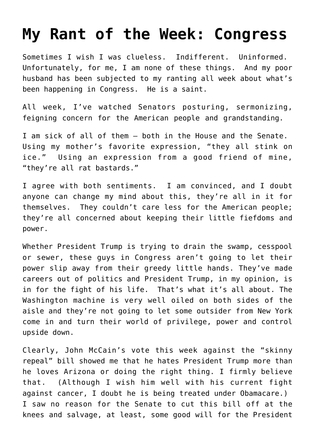## **[My Rant of the Week: Congress](https://bernardgoldberg.com/my-rant-of-the-week-congress/)**

Sometimes I wish I was clueless. Indifferent. Uninformed. Unfortunately, for me, I am none of these things. And my poor husband has been subjected to my ranting all week about what's been happening in Congress. He is a saint.

All week, I've watched Senators posturing, sermonizing, feigning concern for the American people and grandstanding.

I am sick of all of them – both in the House and the Senate. Using my mother's favorite expression, "they all stink on ice." Using an expression from a good friend of mine, "they're all rat bastards."

I agree with both sentiments. I am convinced, and I doubt anyone can change my mind about this, they're all in it for themselves. They couldn't care less for the American people; they're all concerned about keeping their little fiefdoms and power.

Whether President Trump is trying to drain the swamp, cesspool or sewer, these guys in Congress aren't going to let their power slip away from their greedy little hands. They've made careers out of politics and President Trump, in my opinion, is in for the fight of his life. That's what it's all about. The Washington machine is very well oiled on both sides of the aisle and they're not going to let some outsider from New York come in and turn their world of privilege, power and control upside down.

Clearly, John McCain's vote this week against the "skinny repeal" bill showed me that he hates President Trump more than he loves Arizona or doing the right thing. I firmly believe that. (Although I wish him well with his current fight against cancer, I doubt he is being treated under Obamacare.) I saw no reason for the Senate to cut this bill off at the knees and salvage, at least, some good will for the President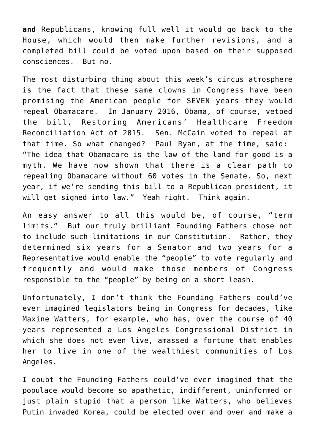**and** Republicans, knowing full well it would go back to the House, which would then make further revisions, and a completed bill could be voted upon based on their supposed consciences. But no.

The most disturbing thing about this week's circus atmosphere is the fact that these same clowns in Congress have been promising the American people for SEVEN years they would repeal Obamacare. In January 2016, Obama, of course, vetoed the bill, Restoring Americans' Healthcare Freedom Reconciliation Act of 2015. [Sen. McCain](http://www.washingtonexaminer.com/list-in-2015-48-current-republican-senators-voted-for-obamacare-repeal-bill-1-voted-no/article/2628948) voted to repeal at that time. So what changed? Paul Ryan, at the time, said: "The idea that Obamacare is the law of the land for good is a myth. We have now shown that there is a clear path to repealing Obamacare without 60 votes in the Senate. So, next year, if we're sending this bill to a Republican president, it will get signed into law." Yeah right. Think again.

An easy answer to all this would be, of course, "term limits." But our truly brilliant Founding Fathers chose not to include such limitations in our Constitution. Rather, they determined six years for a Senator and two years for a Representative would enable the "people" to vote regularly and frequently and would make those members of Congress responsible to the "people" by being on a short leash.

Unfortunately, I don't think the Founding Fathers could've ever imagined legislators being in Congress for decades, like Maxine Watters, for example, who has, over the course of 40 years represented a Los Angeles Congressional District in which she does not even live, amassed a fortune that enables her to live in one of the wealthiest communities of Los Angeles.

I doubt the Founding Fathers could've ever imagined that the populace would become so apathetic, indifferent, uninformed or just plain stupid that a person like Watters, who believes Putin invaded Korea, could be elected over and over and make a